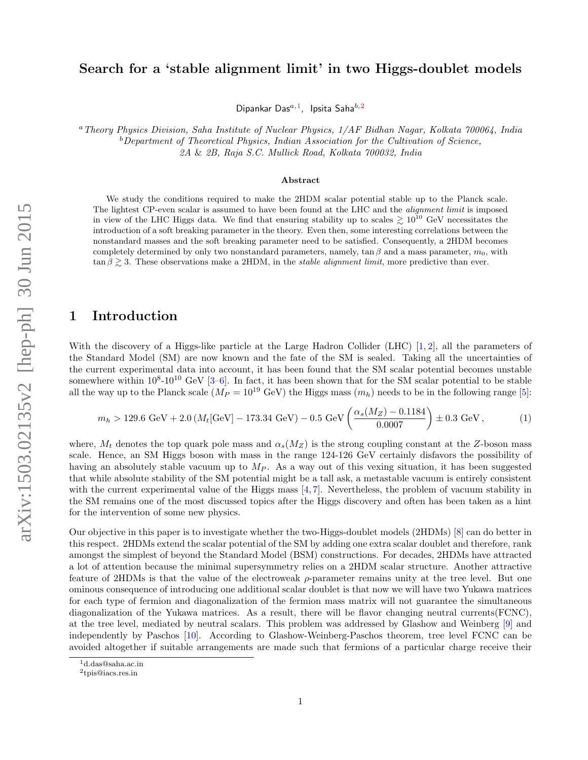# Search for a 'stable alignment limit' in two Higgs-doublet models

Dipankar Das $^{a,1}$ , Ipsita Saha $^{b,2}$ 

<sup>a</sup>Theory Physics Division, Saha Institute of Nuclear Physics, 1/AF Bidhan Nagar, Kolkata 700064, India  $b$ Department of Theoretical Physics, Indian Association for the Cultivation of Science, 2A & 2B, Raja S.C. Mullick Road, Kolkata 700032, India

#### Abstract

We study the conditions required to make the 2HDM scalar potential stable up to the Planck scale. The lightest CP-even scalar is assumed to have been found at the LHC and the alignment limit is imposed in view of the LHC Higgs data. We find that ensuring stability up to scales  $\gtrsim 10^{10}$  GeV necessitates the introduction of a soft breaking parameter in the theory. Even then, some interesting correlations between the nonstandard masses and the soft breaking parameter need to be satisfied. Consequently, a 2HDM becomes completely determined by only two nonstandard parameters, namely,  $\tan \beta$  and a mass parameter,  $m_0$ , with  $\tan \beta \gtrsim 3$ . These observations make a 2HDM, in the *stable alignment limit*, more predictive than ever.

### 1 Introduction

With the discovery of a Higgs-like particle at the Large Hadron Collider (LHC) [1, 2], all the parameters of the Standard Model (SM) are now known and the fate of the SM is sealed. Taking all the uncertainties of the current experimental data into account, it has been found that the SM scalar potential becomes unstable somewhere within  $10^8 \text{-} 10^{10}$  GeV [3–6]. In fact, it has been shown that for the SM scalar potential to be stable all the way up to the Planck scale  $(M_P = 10^{19} \text{ GeV})$  the Higgs mass  $(m_h)$  needs to be in the following range [5]:

$$
m_h > 129.6 \text{ GeV} + 2.0 \left( M_t [\text{GeV}] - 173.34 \text{ GeV} \right) - 0.5 \text{ GeV} \left( \frac{\alpha_s (M_Z) - 0.1184}{0.0007} \right) \pm 0.3 \text{ GeV} ,\tag{1}
$$

where,  $M_t$  denotes the top quark pole mass and  $\alpha_s(M_Z)$  is the strong coupling constant at the Z-boson mass scale. Hence, an SM Higgs boson with mass in the range 124-126 GeV certainly disfavors the possibility of having an absolutely stable vacuum up to  $M_P$ . As a way out of this vexing situation, it has been suggested that while absolute stability of the SM potential might be a tall ask, a metastable vacuum is entirely consistent with the current experimental value of the Higgs mass [4,7]. Nevertheless, the problem of vacuum stability in the SM remains one of the most discussed topics after the Higgs discovery and often has been taken as a hint for the intervention of some new physics.

Our objective in this paper is to investigate whether the two-Higgs-doublet models (2HDMs) [8] can do better in this respect. 2HDMs extend the scalar potential of the SM by adding one extra scalar doublet and therefore, rank amongst the simplest of beyond the Standard Model (BSM) constructions. For decades, 2HDMs have attracted a lot of attention because the minimal supersymmetry relies on a 2HDM scalar structure. Another attractive feature of 2HDMs is that the value of the electroweak  $\rho$ -parameter remains unity at the tree level. But one ominous consequence of introducing one additional scalar doublet is that now we will have two Yukawa matrices for each type of fermion and diagonalization of the fermion mass matrix will not guarantee the simultaneous diagonalization of the Yukawa matrices. As a result, there will be flavor changing neutral currents(FCNC), at the tree level, mediated by neutral scalars. This problem was addressed by Glashow and Weinberg [9] and independently by Paschos [10]. According to Glashow-Weinberg-Paschos theorem, tree level FCNC can be avoided altogether if suitable arrangements are made such that fermions of a particular charge receive their

<sup>&</sup>lt;sup>1</sup>d.das@saha.ac.in

<sup>2</sup> tpis@iacs.res.in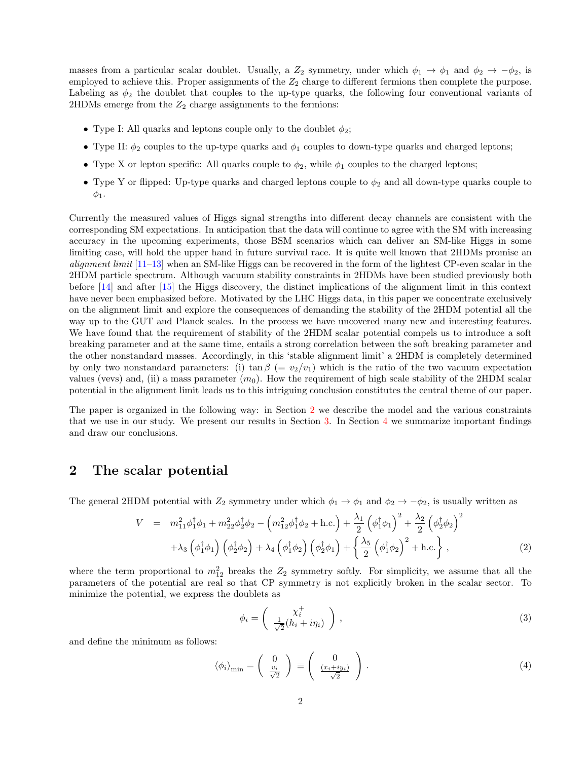masses from a particular scalar doublet. Usually, a  $Z_2$  symmetry, under which  $\phi_1 \to \phi_1$  and  $\phi_2 \to -\phi_2$ , is employed to achieve this. Proper assignments of the  $Z_2$  charge to different fermions then complete the purpose. Labeling as  $\phi_2$  the doublet that couples to the up-type quarks, the following four conventional variants of 2HDMs emerge from the  $Z_2$  charge assignments to the fermions:

- Type I: All quarks and leptons couple only to the doublet  $\phi_2$ ;
- Type II:  $\phi_2$  couples to the up-type quarks and  $\phi_1$  couples to down-type quarks and charged leptons;
- Type X or lepton specific: All quarks couple to  $\phi_2$ , while  $\phi_1$  couples to the charged leptons;
- Type Y or flipped: Up-type quarks and charged leptons couple to  $\phi_2$  and all down-type quarks couple to  $\phi_1$ .

Currently the measured values of Higgs signal strengths into different decay channels are consistent with the corresponding SM expectations. In anticipation that the data will continue to agree with the SM with increasing accuracy in the upcoming experiments, those BSM scenarios which can deliver an SM-like Higgs in some limiting case, will hold the upper hand in future survival race. It is quite well known that 2HDMs promise an *alignment limit*  $[11-13]$  when an SM-like Higgs can be recovered in the form of the lightest CP-even scalar in the 2HDM particle spectrum. Although vacuum stability constraints in 2HDMs have been studied previously both before [14] and after [15] the Higgs discovery, the distinct implications of the alignment limit in this context have never been emphasized before. Motivated by the LHC Higgs data, in this paper we concentrate exclusively on the alignment limit and explore the consequences of demanding the stability of the 2HDM potential all the way up to the GUT and Planck scales. In the process we have uncovered many new and interesting features. We have found that the requirement of stability of the 2HDM scalar potential compels us to introduce a soft breaking parameter and at the same time, entails a strong correlation between the soft breaking parameter and the other nonstandard masses. Accordingly, in this 'stable alignment limit' a 2HDM is completely determined by only two nonstandard parameters: (i) tan  $\beta$  (=  $v_2/v_1$ ) which is the ratio of the two vacuum expectation values (vevs) and, (ii) a mass parameter  $(m_0)$ . How the requirement of high scale stability of the 2HDM scalar potential in the alignment limit leads us to this intriguing conclusion constitutes the central theme of our paper.

The paper is organized in the following way: in Section 2 we describe the model and the various constraints that we use in our study. We present our results in Section 3. In Section 4 we summarize important findings and draw our conclusions.

### 2 The scalar potential

The general 2HDM potential with  $Z_2$  symmetry under which  $\phi_1 \to \phi_1$  and  $\phi_2 \to -\phi_2$ , is usually written as

$$
V = m_{11}^2 \phi_1^{\dagger} \phi_1 + m_{22}^2 \phi_2^{\dagger} \phi_2 - \left( m_{12}^2 \phi_1^{\dagger} \phi_2 + \text{h.c.} \right) + \frac{\lambda_1}{2} \left( \phi_1^{\dagger} \phi_1 \right)^2 + \frac{\lambda_2}{2} \left( \phi_2^{\dagger} \phi_2 \right)^2 + \lambda_3 \left( \phi_1^{\dagger} \phi_1 \right) \left( \phi_2^{\dagger} \phi_2 \right) + \lambda_4 \left( \phi_1^{\dagger} \phi_2 \right) \left( \phi_2^{\dagger} \phi_1 \right) + \left\{ \frac{\lambda_5}{2} \left( \phi_1^{\dagger} \phi_2 \right)^2 + \text{h.c.} \right\},
$$
(2)

where the term proportional to  $m_{12}^2$  breaks the  $Z_2$  symmetry softly. For simplicity, we assume that all the parameters of the potential are real so that CP symmetry is not explicitly broken in the scalar sector. To minimize the potential, we express the doublets as

$$
\phi_i = \begin{pmatrix} \chi_i^+ \\ \frac{1}{\sqrt{2}}(h_i + i\eta_i) \end{pmatrix},\tag{3}
$$

and define the minimum as follows:

$$
\langle \phi_i \rangle_{\min} = \begin{pmatrix} 0 \\ \frac{v_i}{\sqrt{2}} \end{pmatrix} \equiv \begin{pmatrix} 0 \\ \frac{(x_i + iy_i)}{\sqrt{2}} \end{pmatrix} . \tag{4}
$$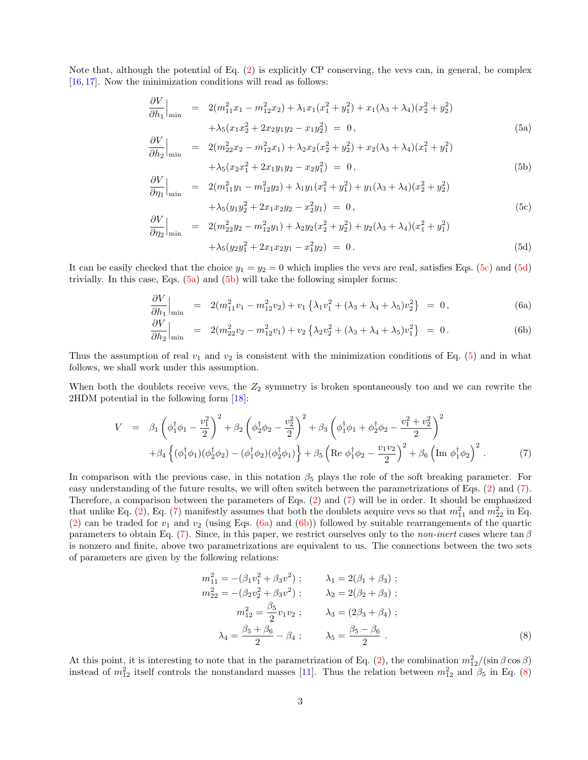Note that, although the potential of Eq.  $(2)$  is explicitly CP conserving, the vevs can, in general, be complex [16, 17]. Now the minimization conditions will read as follows:

$$
\frac{\partial V}{\partial h_1}\Big|_{\min} = 2(m_{11}^2 x_1 - m_{12}^2 x_2) + \lambda_1 x_1 (x_1^2 + y_1^2) + x_1 (\lambda_3 + \lambda_4)(x_2^2 + y_2^2) + \lambda_5 (x_1 x_2^2 + 2x_2 y_1 y_2 - x_1 y_2^2) = 0,
$$
\n(5a)

$$
\frac{\partial V}{\partial h_2}\Big|_{\text{min}} = 2(m_{22}^2 x_2 - m_{12}^2 x_1) + \lambda_2 x_2 (x_2^2 + y_2^2) + x_2 (\lambda_3 + \lambda_4)(x_1^2 + y_1^2) + \lambda_5 (x_2 x_1^2 + 2x_1 y_1 y_2 - x_2 y_1^2) = 0,
$$
\n(5b)

$$
\frac{\partial V}{\partial \eta_1}\Big|_{\text{min}} = 2(m_{11}^2 y_1 - m_{12}^2 y_2) + \lambda_1 y_1 (x_1^2 + y_1^2) + y_1 (\lambda_3 + \lambda_4)(x_2^2 + y_2^2) \n+ \lambda_5 (y_1 y_2^2 + 2x_1 x_2 y_2 - x_2^2 y_1) = 0, \n\frac{\partial V}{\partial \eta_2}\Big|_{\text{min}} = 2(m_{22}^2 y_2 - m_{12}^2 y_1) + \lambda_2 y_2 (x_2^2 + y_2^2) + y_2 (\lambda_3 + \lambda_4)(x_1^2 + y_1^2)
$$
\n(5c)

$$
+\lambda_5(y_2y_1^2+2x_1x_2y_1-x_1^2y_2) = 0.
$$
\n(5d)

It can be easily checked that the choice  $y_1 = y_2 = 0$  which implies the vevs are real, satisfies Eqs. (5c) and (5d) trivially. In this case, Eqs.  $(5a)$  and  $(5b)$  will take the following simpler forms:

$$
\left. \frac{\partial V}{\partial h_1} \right|_{\min} = 2(m_{11}^2 v_1 - m_{12}^2 v_2) + v_1 \left\{ \lambda_1 v_1^2 + (\lambda_3 + \lambda_4 + \lambda_5) v_2^2 \right\} = 0, \tag{6a}
$$

$$
\frac{\partial V}{\partial h_2}\Big|_{\text{min}} = 2(m_{22}^2 v_2 - m_{12}^2 v_1) + v_2 \left\{ \lambda_2 v_2^2 + (\lambda_3 + \lambda_4 + \lambda_5) v_1^2 \right\} = 0. \tag{6b}
$$

Thus the assumption of real  $v_1$  and  $v_2$  is consistent with the minimization conditions of Eq. (5) and in what follows, we shall work under this assumption.

When both the doublets receive vevs, the  $Z_2$  symmetry is broken spontaneously too and we can rewrite the 2HDM potential in the following form [18]:

$$
V = \beta_1 \left( \phi_1^{\dagger} \phi_1 - \frac{v_1^2}{2} \right)^2 + \beta_2 \left( \phi_2^{\dagger} \phi_2 - \frac{v_2^2}{2} \right)^2 + \beta_3 \left( \phi_1^{\dagger} \phi_1 + \phi_2^{\dagger} \phi_2 - \frac{v_1^2 + v_2^2}{2} \right)^2
$$
  
+ 
$$
\beta_4 \left\{ (\phi_1^{\dagger} \phi_1)(\phi_2^{\dagger} \phi_2) - (\phi_1^{\dagger} \phi_2)(\phi_2^{\dagger} \phi_1) \right\} + \beta_5 \left( \text{Re } \phi_1^{\dagger} \phi_2 - \frac{v_1 v_2}{2} \right)^2 + \beta_6 \left( \text{Im } \phi_1^{\dagger} \phi_2 \right)^2. \tag{7}
$$

In comparison with the previous case, in this notation  $\beta_5$  plays the role of the soft breaking parameter. For easy understanding of the future results, we will often switch between the parametrizations of Eqs. (2) and (7). Therefore, a comparison between the parameters of Eqs. (2) and (7) will be in order. It should be emphasized that unlike Eq. (2), Eq. (7) manifestly assumes that both the doublets acquire vevs so that  $m_{11}^2$  and  $m_{22}^2$  in Eq. (2) can be traded for  $v_1$  and  $v_2$  (using Eqs. (6a) and (6b)) followed by suitable rearrangements of the quartic parameters to obtain Eq. (7). Since, in this paper, we restrict ourselves only to the *non-inert* cases where  $\tan \beta$ is nonzero and finite, above two parametrizations are equivalent to us. The connections between the two sets of parameters are given by the following relations:

$$
m_{11}^{2} = -(\beta_{1}v_{1}^{2} + \beta_{3}v^{2}); \qquad \lambda_{1} = 2(\beta_{1} + \beta_{3});
$$
  
\n
$$
m_{22}^{2} = -(\beta_{2}v_{2}^{2} + \beta_{3}v^{2}); \qquad \lambda_{2} = 2(\beta_{2} + \beta_{3});
$$
  
\n
$$
m_{12}^{2} = \frac{\beta_{5}}{2}v_{1}v_{2}; \qquad \lambda_{3} = (2\beta_{3} + \beta_{4});
$$
  
\n
$$
\lambda_{4} = \frac{\beta_{5} + \beta_{6}}{2} - \beta_{4}; \qquad \lambda_{5} = \frac{\beta_{5} - \beta_{6}}{2}.
$$
  
\n(8)

At this point, it is interesting to note that in the parametrization of Eq. (2), the combination  $m_{12}^2/(\sin \beta \cos \beta)$ instead of  $m_{12}^2$  itself controls the nonstandard masses [11]. Thus the relation between  $m_{12}^2$  and  $\beta_5$  in Eq. (8)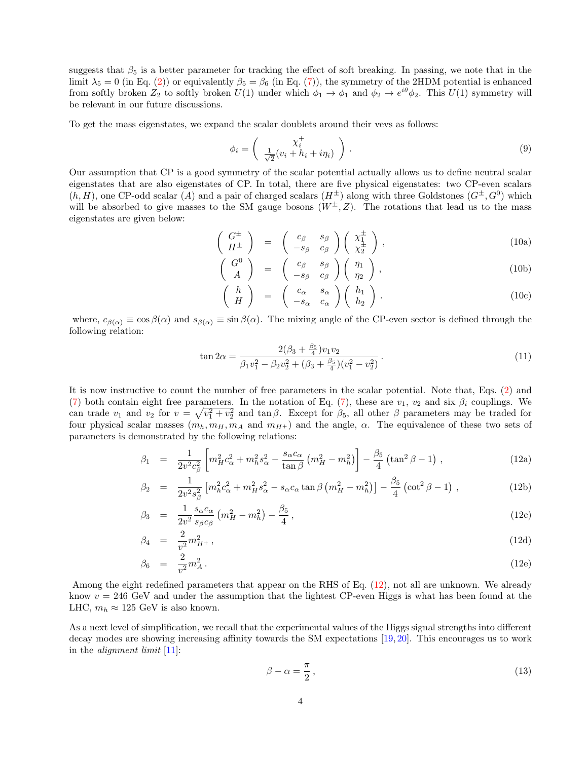suggests that  $\beta_5$  is a better parameter for tracking the effect of soft breaking. In passing, we note that in the limit  $\lambda_5 = 0$  (in Eq. (2)) or equivalently  $\beta_5 = \beta_6$  (in Eq. (7)), the symmetry of the 2HDM potential is enhanced from softly broken  $Z_2$  to softly broken  $U(1)$  under which  $\phi_1 \to \phi_1$  and  $\phi_2 \to e^{i\theta} \phi_2$ . This  $U(1)$  symmetry will be relevant in our future discussions.

To get the mass eigenstates, we expand the scalar doublets around their vevs as follows:

$$
\phi_i = \begin{pmatrix} \chi_i^+ \\ \frac{1}{\sqrt{2}} (v_i + h_i + i\eta_i) \end{pmatrix} . \tag{9}
$$

Our assumption that CP is a good symmetry of the scalar potential actually allows us to define neutral scalar eigenstates that are also eigenstates of CP. In total, there are five physical eigenstates: two CP-even scalars  $(h, H)$ , one CP-odd scalar (A) and a pair of charged scalars  $(H^{\pm})$  along with three Goldstones  $(G^{\pm}, G^0)$  which will be absorbed to give masses to the SM gauge bosons  $(W^{\pm}, Z)$ . The rotations that lead us to the mass eigenstates are given below:

$$
\left(\begin{array}{c} G^{\pm} \\ H^{\pm} \end{array}\right) = \left(\begin{array}{cc} c_{\beta} & s_{\beta} \\ -s_{\beta} & c_{\beta} \end{array}\right) \left(\begin{array}{c} \chi_1^{\pm} \\ \chi_2^{\pm} \end{array}\right), \tag{10a}
$$

$$
\left(\begin{array}{c} G^0 \\ A \end{array}\right) = \left(\begin{array}{cc} c_{\beta} & s_{\beta} \\ -s_{\beta} & c_{\beta} \end{array}\right) \left(\begin{array}{c} \eta_1 \\ \eta_2 \end{array}\right), \tag{10b}
$$

$$
\left(\begin{array}{c}h\\H\end{array}\right) = \left(\begin{array}{cc}c_{\alpha} & s_{\alpha}\\-s_{\alpha} & c_{\alpha}\end{array}\right) \left(\begin{array}{c}h_1\\h_2\end{array}\right). \tag{10c}
$$

where,  $c_{\beta(\alpha)} \equiv \cos \beta(\alpha)$  and  $s_{\beta(\alpha)} \equiv \sin \beta(\alpha)$ . The mixing angle of the CP-even sector is defined through the following relation:

$$
\tan 2\alpha = \frac{2(\beta_3 + \frac{\beta_5}{4})v_1v_2}{\beta_1v_1^2 - \beta_2v_2^2 + (\beta_3 + \frac{\beta_5}{4})(v_1^2 - v_2^2)}.
$$
\n(11)

It is now instructive to count the number of free parameters in the scalar potential. Note that, Eqs. (2) and (7) both contain eight free parameters. In the notation of Eq. (7), these are  $v_1$ ,  $v_2$  and six  $\beta_i$  couplings. We can trade  $v_1$  and  $v_2$  for  $v = \sqrt{v_1^2 + v_2^2}$  and  $\tan \beta$ . Except for  $\beta_5$ , all other  $\beta$  parameters may be traded for four physical scalar masses  $(m_h, m_H, m_A$  and  $m_{H+}$ ) and the angle,  $\alpha$ . The equivalence of these two sets of parameters is demonstrated by the following relations:

$$
\beta_1 = \frac{1}{2v^2c_{\beta}^2} \left[ m_H^2 c_{\alpha}^2 + m_h^2 s_{\alpha}^2 - \frac{s_{\alpha}c_{\alpha}}{\tan \beta} \left( m_H^2 - m_h^2 \right) \right] - \frac{\beta_5}{4} \left( \tan^2 \beta - 1 \right) , \qquad (12a)
$$

$$
\beta_2 = \frac{1}{2v^2 s_\beta^2} \left[ m_h^2 c_\alpha^2 + m_H^2 s_\alpha^2 - s_\alpha c_\alpha \tan \beta \left( m_H^2 - m_h^2 \right) \right] - \frac{\beta_5}{4} \left( \cot^2 \beta - 1 \right) ,\tag{12b}
$$

$$
\beta_3 = \frac{1}{2v^2} \frac{s_\alpha c_\alpha}{s_\beta c_\beta} \left( m_H^2 - m_h^2 \right) - \frac{\beta_5}{4},\tag{12c}
$$

$$
\beta_4 = \frac{2}{v^2} m_{H^+}^2, \qquad (12d)
$$

$$
\beta_6 = \frac{2}{v^2} m_A^2 \,. \tag{12e}
$$

Among the eight redefined parameters that appear on the RHS of Eq.  $(12)$ , not all are unknown. We already know  $v = 246$  GeV and under the assumption that the lightest CP-even Higgs is what has been found at the LHC,  $m_h \approx 125$  GeV is also known.

As a next level of simplification, we recall that the experimental values of the Higgs signal strengths into different decay modes are showing increasing affinity towards the SM expectations [19, 20]. This encourages us to work in the alignment limit [11]:

$$
\beta - \alpha = \frac{\pi}{2},\tag{13}
$$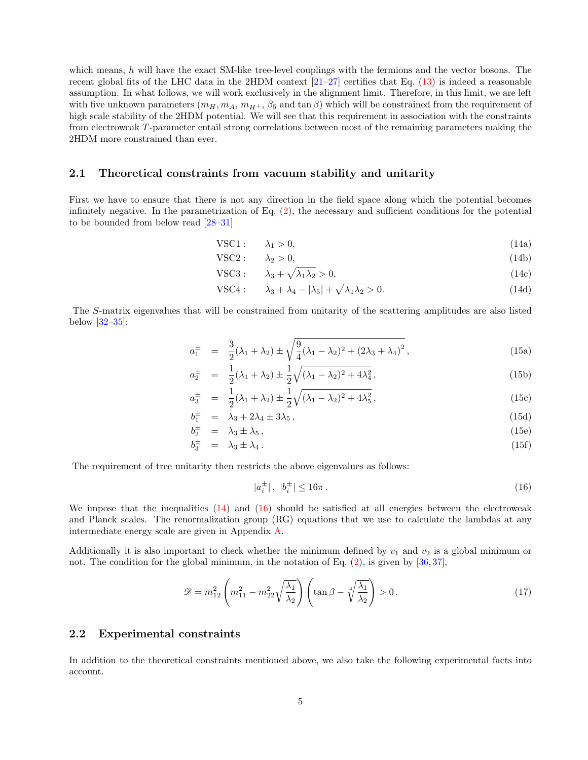which means, h will have the exact SM-like tree-level couplings with the fermions and the vector bosons. The recent global fits of the LHC data in the 2HDM context [21–27] certifies that Eq. (13) is indeed a reasonable assumption. In what follows, we will work exclusively in the alignment limit. Therefore, in this limit, we are left with five unknown parameters  $(m_H, m_A, m_{H^+}, \beta_5 \text{ and } \tan \beta)$  which will be constrained from the requirement of high scale stability of the 2HDM potential. We will see that this requirement in association with the constraints from electroweak T-parameter entail strong correlations between most of the remaining parameters making the 2HDM more constrained than ever.

#### 2.1 Theoretical constraints from vacuum stability and unitarity

First we have to ensure that there is not any direction in the field space along which the potential becomes infinitely negative. In the parametrization of Eq. (2), the necessary and sufficient conditions for the potential to be bounded from below read [28–31]

$$
VSC1: \qquad \lambda_1 > 0,\tag{14a}
$$

$$
VSC2: \t\lambda_2 > 0,\t(14b)
$$

$$
\text{VSC3}: \qquad \lambda_3 + \sqrt{\lambda_1 \lambda_2} > 0,\tag{14c}
$$

$$
\text{VSC4}: \qquad \lambda_3 + \lambda_4 - |\lambda_5| + \sqrt{\lambda_1 \lambda_2} > 0. \tag{14d}
$$

The S-matrix eigenvalues that will be constrained from unitarity of the scattering amplitudes are also listed below [32–35]:

$$
a_1^{\pm} = \frac{3}{2}(\lambda_1 + \lambda_2) \pm \sqrt{\frac{9}{4}(\lambda_1 - \lambda_2)^2 + (2\lambda_3 + \lambda_4)^2},
$$
\n(15a)

$$
a_2^{\pm} = \frac{1}{2}(\lambda_1 + \lambda_2) \pm \frac{1}{2}\sqrt{(\lambda_1 - \lambda_2)^2 + 4\lambda_4^2},
$$
\n(15b)

$$
a_3^{\pm} = \frac{1}{2}(\lambda_1 + \lambda_2) \pm \frac{1}{2}\sqrt{(\lambda_1 - \lambda_2)^2 + 4\lambda_5^2},
$$
\n(15c)

$$
b_1^{\pm} = \lambda_3 + 2\lambda_4 \pm 3\lambda_5, \qquad (15d)
$$

$$
b_2^{\pm} = \lambda_3 \pm \lambda_5, \tag{15e}
$$

$$
b_3^{\pm} = \lambda_3 \pm \lambda_4. \tag{15f}
$$

The requirement of tree unitarity then restricts the above eigenvalues as follows:

$$
|a_i^{\pm}|, |b_i^{\pm}| \le 16\pi. \tag{16}
$$

We impose that the inequalities  $(14)$  and  $(16)$  should be satisfied at all energies between the electroweak and Planck scales. The renormalization group (RG) equations that we use to calculate the lambdas at any intermediate energy scale are given in Appendix A.

Additionally it is also important to check whether the minimum defined by  $v_1$  and  $v_2$  is a global minimum or not. The condition for the global minimum, in the notation of Eq.  $(2)$ , is given by [36, 37],

$$
\mathscr{D} = m_{12}^2 \left( m_{11}^2 - m_{22}^2 \sqrt{\frac{\lambda_1}{\lambda_2}} \right) \left( \tan \beta - \sqrt[4]{\frac{\lambda_1}{\lambda_2}} \right) > 0. \tag{17}
$$

#### 2.2 Experimental constraints

In addition to the theoretical constraints mentioned above, we also take the following experimental facts into account.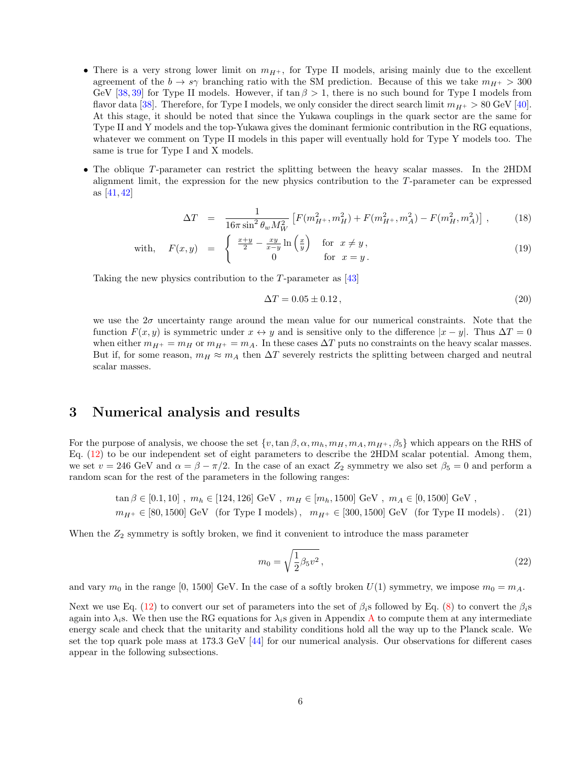- There is a very strong lower limit on  $m_{H+}$ , for Type II models, arising mainly due to the excellent agreement of the  $b \to s\gamma$  branching ratio with the SM prediction. Because of this we take  $m_{H^+} > 300$ GeV [38, 39] for Type II models. However, if  $\tan \beta > 1$ , there is no such bound for Type I models from flavor data [38]. Therefore, for Type I models, we only consider the direct search limit  $m_{H^+} > 80$  GeV [40]. At this stage, it should be noted that since the Yukawa couplings in the quark sector are the same for Type II and Y models and the top-Yukawa gives the dominant fermionic contribution in the RG equations, whatever we comment on Type II models in this paper will eventually hold for Type Y models too. The same is true for Type I and X models.
- The oblique T-parameter can restrict the splitting between the heavy scalar masses. In the 2HDM alignment limit, the expression for the new physics contribution to the T-parameter can be expressed as [41, 42]

$$
\Delta T = \frac{1}{16\pi \sin^2 \theta_w M_W^2} \left[ F(m_{H^+}^2, m_H^2) + F(m_{H^+}^2, m_A^2) - F(m_H^2, m_A^2) \right],
$$
 (18)

with, 
$$
F(x,y) = \begin{cases} \frac{x+y}{2} - \frac{xy}{x-y} \ln\left(\frac{x}{y}\right) & \text{for } x \neq y, \\ 0 & \text{for } x = y. \end{cases}
$$
 (19)

Taking the new physics contribution to the T-parameter as [43]

$$
\Delta T = 0.05 \pm 0.12, \tag{20}
$$

we use the  $2\sigma$  uncertainty range around the mean value for our numerical constraints. Note that the function  $F(x, y)$  is symmetric under  $x \leftrightarrow y$  and is sensitive only to the difference  $|x - y|$ . Thus  $\Delta T = 0$ when either  $m_{H^+} = m_H$  or  $m_{H^+} = m_A$ . In these cases  $\Delta T$  puts no constraints on the heavy scalar masses. But if, for some reason,  $m_H \approx m_A$  then  $\Delta T$  severely restricts the splitting between charged and neutral scalar masses.

### 3 Numerical analysis and results

For the purpose of analysis, we choose the set  $\{v,\tan\beta,\alpha,m_h,m_H,m_A,m_{H+},\beta_5\}$  which appears on the RHS of Eq. (12) to be our independent set of eight parameters to describe the 2HDM scalar potential. Among them, we set  $v = 246$  GeV and  $\alpha = \beta - \pi/2$ . In the case of an exact  $Z_2$  symmetry we also set  $\beta_5 = 0$  and perform a random scan for the rest of the parameters in the following ranges:

$$
\tan \beta \in [0.1, 10], \ m_h \in [124, 126] \text{ GeV}, \ m_H \in [m_h, 1500] \text{ GeV}, \ m_A \in [0, 1500] \text{ GeV},
$$
  

$$
m_{H^+} \in [80, 1500] \text{ GeV} \text{ (for Type I models)}, \ m_{H^+} \in [300, 1500] \text{ GeV} \text{ (for Type II models)}. (21)
$$

When the  $Z_2$  symmetry is softly broken, we find it convenient to introduce the mass parameter

$$
m_0 = \sqrt{\frac{1}{2}\beta_5 v^2},
$$
\n(22)

and vary  $m_0$  in the range [0, 1500] GeV. In the case of a softly broken  $U(1)$  symmetry, we impose  $m_0 = m_A$ .

Next we use Eq. (12) to convert our set of parameters into the set of  $\beta_i$ s followed by Eq. (8) to convert the  $\beta_i$ s again into  $\lambda_i$ s. We then use the RG equations for  $\lambda_i$ s given in Appendix A to compute them at any intermediate energy scale and check that the unitarity and stability conditions hold all the way up to the Planck scale. We set the top quark pole mass at 173.3 GeV [44] for our numerical analysis. Our observations for different cases appear in the following subsections.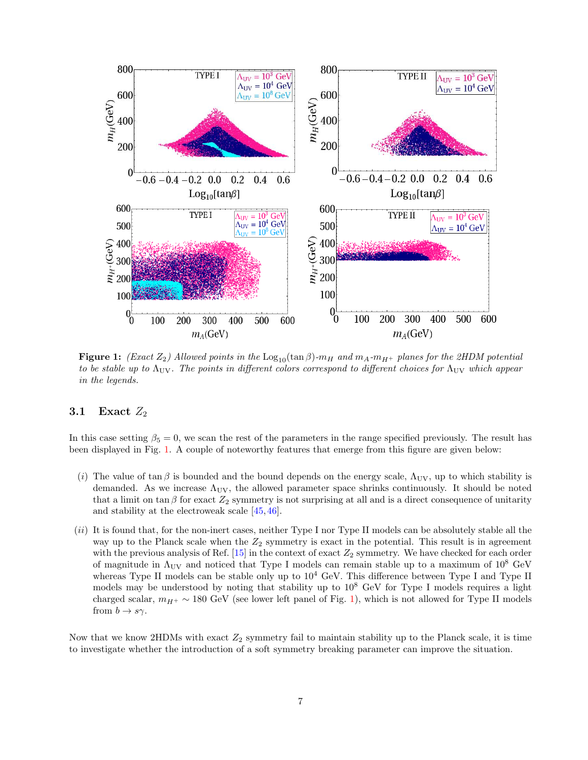

**Figure 1:** (Exact  $Z_2$ ) Allowed points in the  $\text{Log}_{10}(\tan \beta)$ - $m_H$  and  $m_A$ - $m_{H^+}$  planes for the 2HDM potential to be stable up to  $\Lambda_{\text{UV}}$ . The points in different colors correspond to different choices for  $\Lambda_{\text{UV}}$  which appear in the legends.

### 3.1 Exact  $Z_2$

In this case setting  $\beta_5 = 0$ , we scan the rest of the parameters in the range specified previously. The result has been displayed in Fig. 1. A couple of noteworthy features that emerge from this figure are given below:

- (i) The value of  $\tan \beta$  is bounded and the bound depends on the energy scale,  $\Lambda_{UV}$ , up to which stability is demanded. As we increase  $\Lambda_{UV}$ , the allowed parameter space shrinks continuously. It should be noted that a limit on tan  $\beta$  for exact  $Z_2$  symmetry is not surprising at all and is a direct consequence of unitarity and stability at the electroweak scale [45, 46].
- (ii) It is found that, for the non-inert cases, neither Type I nor Type II models can be absolutely stable all the way up to the Planck scale when the  $Z_2$  symmetry is exact in the potential. This result is in agreement with the previous analysis of Ref.  $[15]$  in the context of exact  $Z_2$  symmetry. We have checked for each order of magnitude in  $\Lambda_{\rm UV}$  and noticed that Type I models can remain stable up to a maximum of  $10^8$  GeV whereas Type II models can be stable only up to  $10^4$  GeV. This difference between Type I and Type II models may be understood by noting that stability up to  $10^8$  GeV for Type I models requires a light charged scalar,  $m_{H^+} \sim 180$  GeV (see lower left panel of Fig. 1), which is not allowed for Type II models from  $b \to s\gamma$ .

Now that we know 2HDMs with exact  $Z_2$  symmetry fail to maintain stability up to the Planck scale, it is time to investigate whether the introduction of a soft symmetry breaking parameter can improve the situation.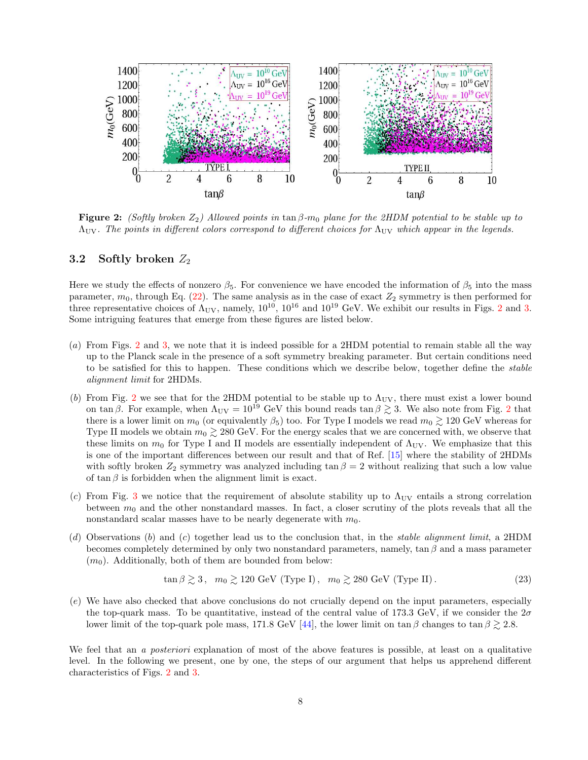

**Figure 2:** (Softly broken  $Z_2$ ) Allowed points in tan  $\beta$ -m<sub>0</sub> plane for the 2HDM potential to be stable up to  $\Lambda_{\rm UV}$ . The points in different colors correspond to different choices for  $\Lambda_{\rm UV}$  which appear in the legends.

#### 3.2 Softly broken  $Z_2$

Here we study the effects of nonzero  $\beta_5$ . For convenience we have encoded the information of  $\beta_5$  into the mass parameter,  $m_0$ , through Eq. (22). The same analysis as in the case of exact  $Z_2$  symmetry is then performed for three representative choices of  $\Lambda_{\rm UV}$ , namely,  $10^{10}$ ,  $10^{16}$  and  $10^{19}$  GeV. We exhibit our results in Figs. 2 and 3. Some intriguing features that emerge from these figures are listed below.

- (a) From Figs. 2 and 3, we note that it is indeed possible for a 2HDM potential to remain stable all the way up to the Planck scale in the presence of a soft symmetry breaking parameter. But certain conditions need to be satisfied for this to happen. These conditions which we describe below, together define the *stable* alignment limit for 2HDMs.
- (b) From Fig. 2 we see that for the 2HDM potential to be stable up to  $\Lambda_{\text{UV}}$ , there must exist a lower bound on tan β. For example, when  $\Lambda_{\rm UV} = 10^{19}$  GeV this bound reads tan  $\beta \gtrsim 3$ . We also note from Fig. 2 that there is a lower limit on  $m_0$  (or equivalently  $\beta_5$ ) too. For Type I models we read  $m_0 \gtrsim 120 \text{ GeV}$  whereas for Type II models we obtain  $m_0 \gtrsim 280 \text{ GeV}$ . For the energy scales that we are concerned with, we observe that these limits on  $m_0$  for Type I and II models are essentially independent of  $\Lambda_{\text{UV}}$ . We emphasize that this is one of the important differences between our result and that of Ref. [15] where the stability of 2HDMs with softly broken  $Z_2$  symmetry was analyzed including  $\tan \beta = 2$  without realizing that such a low value of  $\tan \beta$  is forbidden when the alignment limit is exact.
- (c) From Fig. 3 we notice that the requirement of absolute stability up to  $\Lambda_{\text{UV}}$  entails a strong correlation between  $m_0$  and the other nonstandard masses. In fact, a closer scrutiny of the plots reveals that all the nonstandard scalar masses have to be nearly degenerate with  $m_0$ .
- (d) Observations (b) and (c) together lead us to the conclusion that, in the stable alignment limit, a 2HDM becomes completely determined by only two nonstandard parameters, namely, tan  $\beta$  and a mass parameter  $(m_0)$ . Additionally, both of them are bounded from below:

$$
\tan \beta \gtrsim 3 \,, \quad m_0 \gtrsim 120 \text{ GeV (Type I)}, \quad m_0 \gtrsim 280 \text{ GeV (Type II)} \,. \tag{23}
$$

(e) We have also checked that above conclusions do not crucially depend on the input parameters, especially the top-quark mass. To be quantitative, instead of the central value of 173.3 GeV, if we consider the  $2\sigma$ lower limit of the top-quark pole mass, 171.8 GeV [44], the lower limit on tan  $\beta$  changes to tan  $\beta \gtrsim 2.8$ .

We feel that an a *posteriori* explanation of most of the above features is possible, at least on a qualitative level. In the following we present, one by one, the steps of our argument that helps us apprehend different characteristics of Figs. 2 and 3.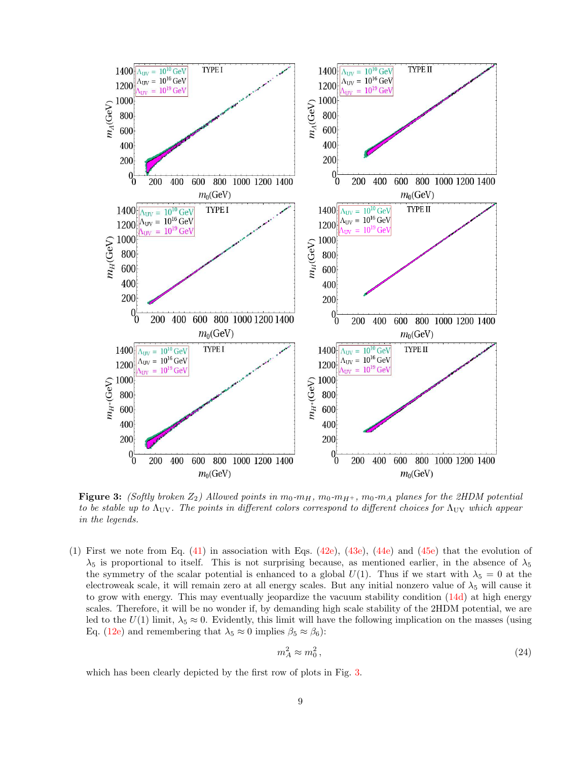

**Figure 3:** (Softly broken  $Z_2$ ) Allowed points in  $m_0-m_H$ ,  $m_0-m_{H+}$ ,  $m_0-m_A$  planes for the 2HDM potential to be stable up to  $\Lambda_{\text{UV}}$ . The points in different colors correspond to different choices for  $\Lambda_{\text{UV}}$  which appear in the legends.

(1) First we note from Eq.  $(41)$  in association with Eqs.  $(42e)$ ,  $(43e)$ ,  $(44e)$  and  $(45e)$  that the evolution of  $\lambda_5$  is proportional to itself. This is not surprising because, as mentioned earlier, in the absence of  $\lambda_5$ the symmetry of the scalar potential is enhanced to a global  $U(1)$ . Thus if we start with  $\lambda_5 = 0$  at the electroweak scale, it will remain zero at all energy scales. But any initial nonzero value of  $\lambda_5$  will cause it to grow with energy. This may eventually jeopardize the vacuum stability condition (14d) at high energy scales. Therefore, it will be no wonder if, by demanding high scale stability of the 2HDM potential, we are led to the  $U(1)$  limit,  $\lambda_5 \approx 0$ . Evidently, this limit will have the following implication on the masses (using Eq. (12e) and remembering that  $\lambda_5 \approx 0$  implies  $\beta_5 \approx \beta_6$ ):

$$
m_A^2 \approx m_0^2 \,,\tag{24}
$$

which has been clearly depicted by the first row of plots in Fig. 3.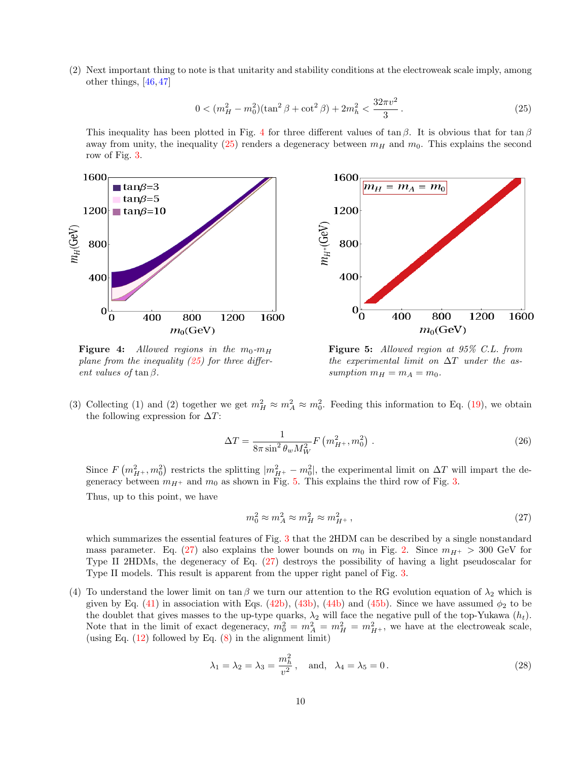(2) Next important thing to note is that unitarity and stability conditions at the electroweak scale imply, among other things, [46, 47]

$$
0 < (m_H^2 - m_0^2)(\tan^2 \beta + \cot^2 \beta) + 2m_h^2 < \frac{32\pi v^2}{3} \,. \tag{25}
$$

This inequality has been plotted in Fig. 4 for three different values of tan  $\beta$ . It is obvious that for tan  $\beta$ away from unity, the inequality  $(25)$  renders a degeneracy between  $m_H$  and  $m_0$ . This explains the second row of Fig. 3.



**Figure 4:** Allowed regions in the  $m_0$ - $m_H$ plane from the inequality  $(25)$  for three different values of tan $\beta$ .

Figure 5: Allowed region at 95% C.L. from the experimental limit on  $\Delta T$  under the assumption  $m_H = m_A = m_0$ .

(3) Collecting (1) and (2) together we get  $m_H^2 \approx m_A^2 \approx m_0^2$ . Feeding this information to Eq. (19), we obtain the following expression for  $\Delta T$ :

$$
\Delta T = \frac{1}{8\pi \sin^2 \theta_w M_W^2} F\left(m_{H^+}^2, m_0^2\right).
$$
 (26)

Since  $F(m_{H^+}^2, m_0^2)$  restricts the splitting  $|m_{H^+}^2 - m_0^2|$ , the experimental limit on  $\Delta T$  will impart the degeneracy between  $m_{H+}$  and  $m_0$  as shown in Fig. 5. This explains the third row of Fig. 3. Thus, up to this point, we have

$$
m_0^2 \approx m_A^2 \approx m_H^2 \approx m_{H^+}^2,\tag{27}
$$

which summarizes the essential features of Fig. 3 that the 2HDM can be described by a single nonstandard mass parameter. Eq. (27) also explains the lower bounds on  $m_0$  in Fig. 2. Since  $m_{H^+} > 300$  GeV for Type II 2HDMs, the degeneracy of Eq. (27) destroys the possibility of having a light pseudoscalar for Type II models. This result is apparent from the upper right panel of Fig. 3.

(4) To understand the lower limit on tan β we turn our attention to the RG evolution equation of  $\lambda_2$  which is given by Eq. (41) in association with Eqs. (42b), (43b), (44b) and (45b). Since we have assumed  $\phi_2$  to be the doublet that gives masses to the up-type quarks,  $\lambda_2$  will face the negative pull of the top-Yukawa  $(h_t)$ . Note that in the limit of exact degeneracy,  $m_0^2 = m_A^2 = m_H^2 = m_{H^+}^2$ , we have at the electroweak scale, (using Eq.  $(12)$  followed by Eq.  $(8)$  in the alignment limit)

$$
\lambda_1 = \lambda_2 = \lambda_3 = \frac{m_h^2}{v^2}, \quad \text{and,} \quad \lambda_4 = \lambda_5 = 0.
$$
 (28)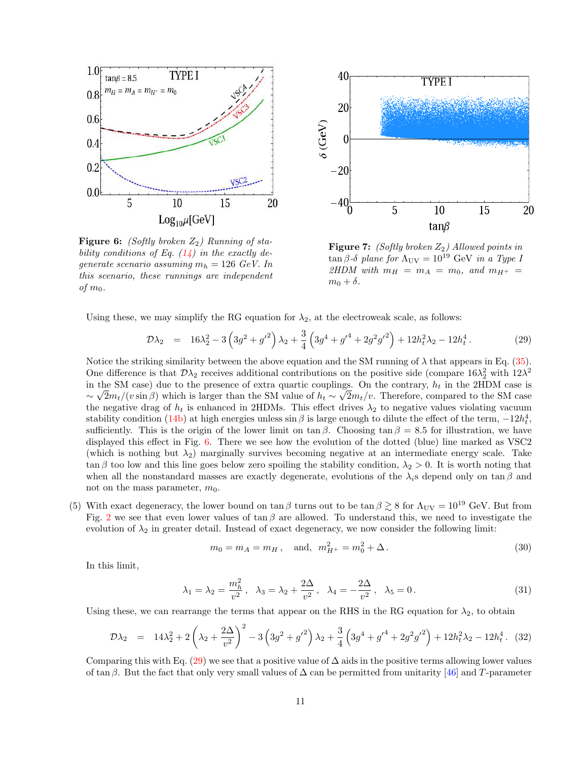

**Figure 6:** (Softly broken  $Z_2$ ) Running of stability conditions of Eq.  $(14)$  in the exactly degenerate scenario assuming  $m_h = 126 \text{ GeV}$ . In this scenario, these runnings are independent of  $m_0$ .



**Figure 7:** (Softly broken  $Z_2$ ) Allowed points in  $tan β-δ$  plane for  $Λ_{UV} = 10^{19}$  GeV in a Type I 2HDM with  $m_H = m_A = m_0$ , and  $m_{H^+} =$  $m_0 + \delta$ .

Using these, we may simplify the RG equation for  $\lambda_2$ , at the electroweak scale, as follows:

$$
\mathcal{D}\lambda_2 = 16\lambda_2^2 - 3\left(3g^2 + {g'}^2\right)\lambda_2 + \frac{3}{4}\left(3g^4 + {g'}^4 + 2g^2{g'}^2\right) + 12h_t^2\lambda_2 - 12h_t^4. \tag{29}
$$

Notice the striking similarity between the above equation and the SM running of  $\lambda$  that appears in Eq. (35). One difference is that  $\mathcal{D}\lambda_2$  receives additional contributions on the positive side (compare  $16\lambda_2^2$  with  $12\lambda^2$ ) in the SM case) due to the presence of extra quartic couplings. On the contrary,  $h_t$  in the 2HDM case is ∼  $\sqrt{2}m_t/(v\sin\beta)$  which is larger than the SM value of  $h_t \sim \sqrt{2}m_t/v$ . Therefore, compared to the SM case the negative drag of  $h_t$  is enhanced in 2HDMs. This effect drives  $\lambda_2$  to negative values violating vacuum stability condition (14b) at high energies unless sin  $\beta$  is large enough to dilute the effect of the term,  $-12h_t^4$ , sufficiently. This is the origin of the lower limit on  $\tan \beta$ . Choosing  $\tan \beta = 8.5$  for illustration, we have displayed this effect in Fig. 6. There we see how the evolution of the dotted (blue) line marked as VSC2 (which is nothing but  $\lambda_2$ ) marginally survives becoming negative at an intermediate energy scale. Take  $\tan \beta$  too low and this line goes below zero spoiling the stability condition,  $\lambda_2 > 0$ . It is worth noting that when all the nonstandard masses are exactly degenerate, evolutions of the  $\lambda_i$ s depend only on tan β and not on the mass parameter,  $m_0$ .

(5) With exact degeneracy, the lower bound on  $\tan \beta$  turns out to be  $\tan \beta \gtrsim 8$  for  $\Lambda_{\rm UV} = 10^{19}$  GeV. But from Fig. 2 we see that even lower values of  $\tan \beta$  are allowed. To understand this, we need to investigate the evolution of  $\lambda_2$  in greater detail. Instead of exact degeneracy, we now consider the following limit:

$$
m_0 = m_A = m_H
$$
, and,  $m_{H^+}^2 = m_0^2 + \Delta$ . (30)

In this limit,

$$
\lambda_1 = \lambda_2 = \frac{m_h^2}{v^2}, \quad \lambda_3 = \lambda_2 + \frac{2\Delta}{v^2}, \quad \lambda_4 = -\frac{2\Delta}{v^2}, \quad \lambda_5 = 0.
$$
\n(31)

Using these, we can rearrange the terms that appear on the RHS in the RG equation for  $\lambda_2$ , to obtain

$$
\mathcal{D}\lambda_2 = 14\lambda_2^2 + 2\left(\lambda_2 + \frac{2\Delta}{v^2}\right)^2 - 3\left(3g^2 + g'^2\right)\lambda_2 + \frac{3}{4}\left(3g^4 + g'^4 + 2g^2g'^2\right) + 12h_t^2\lambda_2 - 12h_t^4. \tag{32}
$$

Comparing this with Eq. (29) we see that a positive value of  $\Delta$  aids in the positive terms allowing lower values of tan β. But the fact that only very small values of  $\Delta$  can be permitted from unitarity [46] and T-parameter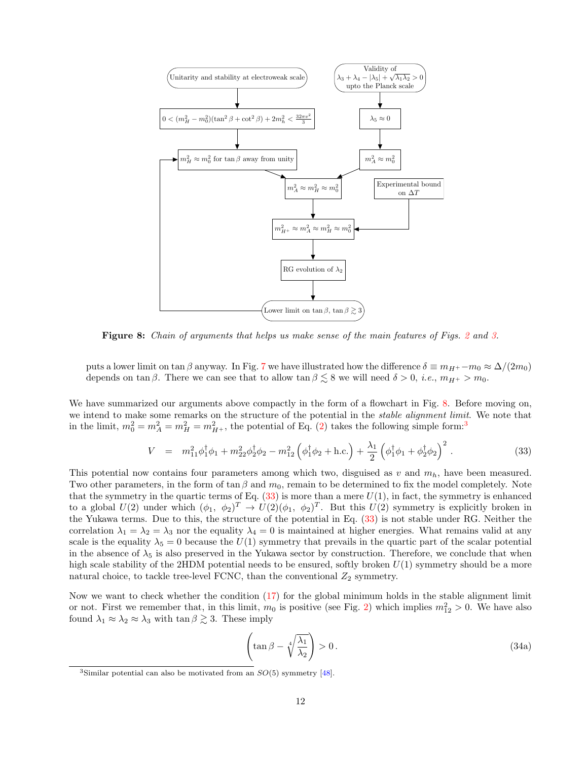

Figure 8: Chain of arguments that helps us make sense of the main features of Figs. 2 and 3.

puts a lower limit on tan β anyway. In Fig. 7 we have illustrated how the difference  $\delta \equiv m_{H^+} - m_0 \approx \Delta/(2m_0)$ depends on tan  $\beta$ . There we can see that to allow tan  $\beta \lesssim 8$  we will need  $\delta > 0$ , *i.e.*,  $m_{H+} > m_0$ .

We have summarized our arguments above compactly in the form of a flowchart in Fig. 8. Before moving on, we intend to make some remarks on the structure of the potential in the *stable alignment limit*. We note that in the limit,  $m_0^2 = m_A^2 = m_H^2 = m_{H^+}^2$ , the potential of Eq. (2) takes the following simple form:<sup>3</sup>

$$
V = m_{11}^2 \phi_1^{\dagger} \phi_1 + m_{22}^2 \phi_2^{\dagger} \phi_2 - m_{12}^2 \left( \phi_1^{\dagger} \phi_2 + \text{h.c.} \right) + \frac{\lambda_1}{2} \left( \phi_1^{\dagger} \phi_1 + \phi_2^{\dagger} \phi_2 \right)^2. \tag{33}
$$

This potential now contains four parameters among which two, disguised as  $v$  and  $m_h$ , have been measured. Two other parameters, in the form of  $\tan \beta$  and  $m_0$ , remain to be determined to fix the model completely. Note that the symmetry in the quartic terms of Eq.  $(33)$  is more than a mere  $U(1)$ , in fact, the symmetry is enhanced to a global  $U(2)$  under which  $(\phi_1, \phi_2)^T \to U(2)(\phi_1, \phi_2)^T$ . But this  $U(2)$  symmetry is explicitly broken in the Yukawa terms. Due to this, the structure of the potential in Eq. (33) is not stable under RG. Neither the correlation  $\lambda_1 = \lambda_2 = \lambda_3$  nor the equality  $\lambda_4 = 0$  is maintained at higher energies. What remains valid at any scale is the equality  $\lambda_5 = 0$  because the  $U(1)$  symmetry that prevails in the quartic part of the scalar potential in the absence of  $\lambda_5$  is also preserved in the Yukawa sector by construction. Therefore, we conclude that when high scale stability of the 2HDM potential needs to be ensured, softly broken  $U(1)$  symmetry should be a more natural choice, to tackle tree-level FCNC, than the conventional  $Z_2$  symmetry.

Now we want to check whether the condition (17) for the global minimum holds in the stable alignment limit or not. First we remember that, in this limit,  $m_0$  is positive (see Fig. 2) which implies  $m_{12}^2 > 0$ . We have also found  $\lambda_1 \approx \lambda_2 \approx \lambda_3$  with  $\tan \beta \gtrsim 3$ . These imply

$$
\left(\tan \beta - \sqrt[4]{\frac{\lambda_1}{\lambda_2}}\right) > 0. \tag{34a}
$$

<sup>&</sup>lt;sup>3</sup>Similar potential can also be motivated from an  $SO(5)$  symmetry [48].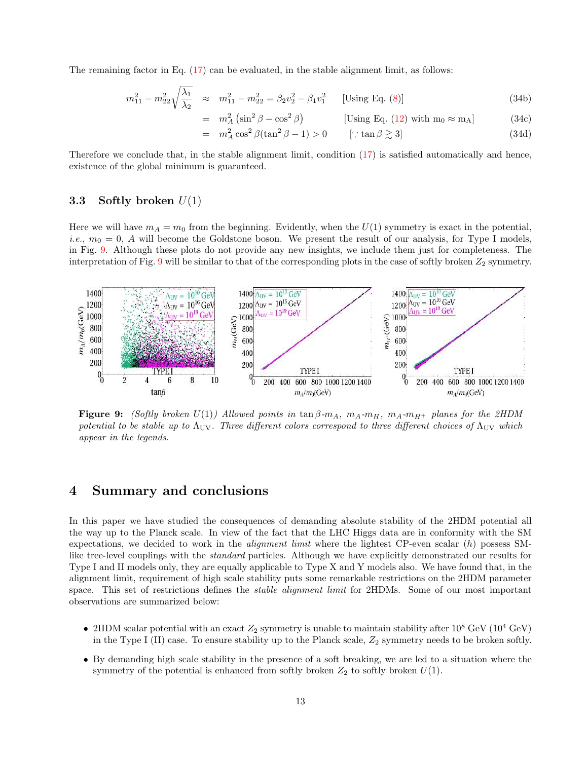The remaining factor in Eq. (17) can be evaluated, in the stable alignment limit, as follows:

$$
m_{11}^2 - m_{22}^2 \sqrt{\frac{\lambda_1}{\lambda_2}} \approx m_{11}^2 - m_{22}^2 = \beta_2 v_2^2 - \beta_1 v_1^2 \quad \text{[Using Eq. (8)]} \tag{34b}
$$

$$
= m_A^2 \left( \sin^2 \beta - \cos^2 \beta \right) \qquad \qquad [\text{Using Eq. (12) with } m_0 \approx m_A] \qquad (34c)
$$

$$
= m_A^2 \cos^2 \beta (\tan^2 \beta - 1) > 0 \qquad [\because \tan \beta \gtrsim 3]
$$
 (34d)

Therefore we conclude that, in the stable alignment limit, condition (17) is satisfied automatically and hence, existence of the global minimum is guaranteed.

### 3.3 Softly broken  $U(1)$

Here we will have  $m_A = m_0$  from the beginning. Evidently, when the  $U(1)$  symmetry is exact in the potential, *i.e.*,  $m_0 = 0$ , A will become the Goldstone boson. We present the result of our analysis, for Type I models, in Fig. 9. Although these plots do not provide any new insights, we include them just for completeness. The interpretation of Fig. 9 will be similar to that of the corresponding plots in the case of softly broken  $Z_2$  symmetry.



**Figure 9:** (Softly broken  $U(1)$ ) Allowed points in tan  $\beta$ - $m_A$ ,  $m_A$ - $m_H$ ,  $m_A$ - $m_{H^+}$  planes for the 2HDM potential to be stable up to  $\Lambda_{\text{UV}}$ . Three different colors correspond to three different choices of  $\Lambda_{\text{UV}}$  which appear in the legends.

## 4 Summary and conclusions

In this paper we have studied the consequences of demanding absolute stability of the 2HDM potential all the way up to the Planck scale. In view of the fact that the LHC Higgs data are in conformity with the SM expectations, we decided to work in the *alignment limit* where the lightest CP-even scalar  $(h)$  possess SMlike tree-level couplings with the standard particles. Although we have explicitly demonstrated our results for Type I and II models only, they are equally applicable to Type X and Y models also. We have found that, in the alignment limit, requirement of high scale stability puts some remarkable restrictions on the 2HDM parameter space. This set of restrictions defines the *stable alignment limit* for 2HDMs. Some of our most important observations are summarized below:

- 2HDM scalar potential with an exact  $Z_2$  symmetry is unable to maintain stability after  $10^8 \text{ GeV}$  ( $10^4 \text{ GeV}$ ) in the Type I (II) case. To ensure stability up to the Planck scale,  $Z_2$  symmetry needs to be broken softly.
- By demanding high scale stability in the presence of a soft breaking, we are led to a situation where the symmetry of the potential is enhanced from softly broken  $Z_2$  to softly broken  $U(1)$ .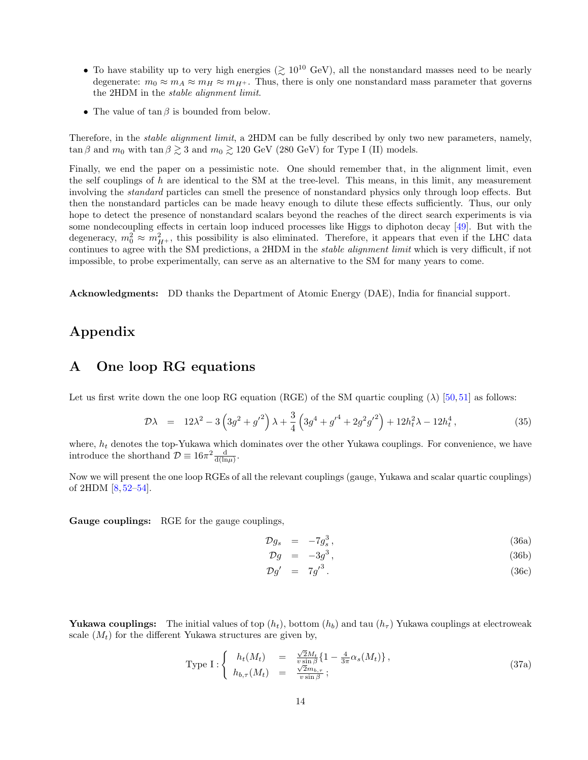- To have stability up to very high energies ( $\gtrsim 10^{10}$  GeV), all the nonstandard masses need to be nearly degenerate:  $m_0 \approx m_A \approx m_H \approx m_{H^+}$ . Thus, there is only one nonstandard mass parameter that governs the 2HDM in the stable alignment limit.
- The value of  $\tan \beta$  is bounded from below.

Therefore, in the *stable alignment limit*, a 2HDM can be fully described by only two new parameters, namely,  $\tan \beta$  and  $m_0$  with  $\tan \beta \gtrsim 3$  and  $m_0 \gtrsim 120 \text{ GeV}$  (280 GeV) for Type I (II) models.

Finally, we end the paper on a pessimistic note. One should remember that, in the alignment limit, even the self couplings of h are identical to the SM at the tree-level. This means, in this limit, any measurement involving the standard particles can smell the presence of nonstandard physics only through loop effects. But then the nonstandard particles can be made heavy enough to dilute these effects sufficiently. Thus, our only hope to detect the presence of nonstandard scalars beyond the reaches of the direct search experiments is via some nondecoupling effects in certain loop induced processes like Higgs to diphoton decay [49]. But with the degeneracy,  $m_0^2 \approx m_{H^+}^2$ , this possibility is also eliminated. Therefore, it appears that even if the LHC data continues to agree with the SM predictions, a 2HDM in the stable alignment limit which is very difficult, if not impossible, to probe experimentally, can serve as an alternative to the SM for many years to come.

Acknowledgments: DD thanks the Department of Atomic Energy (DAE), India for financial support.

# Appendix

### A One loop RG equations

Let us first write down the one loop RG equation (RGE) of the SM quartic coupling ( $\lambda$ ) [50, 51] as follows:

$$
\mathcal{D}\lambda = 12\lambda^2 - 3\left(3g^2 + g'^2\right)\lambda + \frac{3}{4}\left(3g^4 + g'^4 + 2g^2g'^2\right) + 12h_t^2\lambda - 12h_t^4\,,\tag{35}
$$

where,  $h_t$  denotes the top-Yukawa which dominates over the other Yukawa couplings. For convenience, we have introduce the shorthand  $\mathcal{D} \equiv 16\pi^2 \frac{d}{d(\ln \mu)}$ .

Now we will present the one loop RGEs of all the relevant couplings (gauge, Yukawa and scalar quartic couplings) of 2HDM  $[8, 52-54]$ .

Gauge couplings: RGE for the gauge couplings,

$$
\mathcal{D}g_s = -7g_s^3, \qquad (36a)
$$

$$
\mathcal{D}g = -3g^3, \tag{36b}
$$

$$
\mathcal{D}g' = 7g'^3. \tag{36c}
$$

**Yukawa couplings:** The initial values of top  $(h_t)$ , bottom  $(h_b)$  and tau  $(h_\tau)$  Yukawa couplings at electroweak scale  $(M_t)$  for the different Yukawa structures are given by,

Type I: 
$$
\begin{cases} h_t(M_t) = \frac{\sqrt{2}M_t}{v \sin \beta} \{1 - \frac{4}{3\pi} \alpha_s(M_t)\}, \\ h_{b,\tau}(M_t) = \frac{\sqrt{2}m_{b,\tau}}{v \sin \beta}; \end{cases}
$$
 (37a)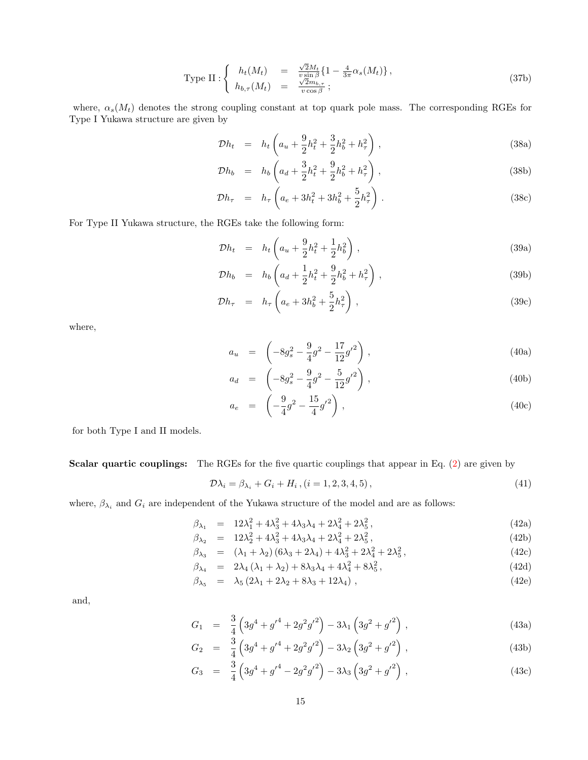Type II: 
$$
\begin{cases} h_t(M_t) = \frac{\sqrt{2}M_t}{v \sin \beta} \{1 - \frac{4}{3\pi} \alpha_s(M_t)\}, \\ h_{b,\tau}(M_t) = \frac{\sqrt{2}m_{b,\tau}}{v \cos \beta}; \end{cases}
$$
 (37b)

where,  $\alpha_s(M_t)$  denotes the strong coupling constant at top quark pole mass. The corresponding RGEs for Type I Yukawa structure are given by

 $\mathbb{R}^2$ 

$$
\mathcal{D}h_t = h_t \left( a_u + \frac{9}{2} h_t^2 + \frac{3}{2} h_b^2 + h_\tau^2 \right), \tag{38a}
$$

$$
\mathcal{D}h_b = h_b \left( a_d + \frac{3}{2} h_t^2 + \frac{9}{2} h_b^2 + h_\tau^2 \right), \tag{38b}
$$

$$
\mathcal{D}h_{\tau} = h_{\tau} \left( a_e + 3h_t^2 + 3h_b^2 + \frac{5}{2}h_{\tau}^2 \right). \tag{38c}
$$

For Type II Yukawa structure, the RGEs take the following form:

$$
\mathcal{D}h_t = h_t \left( a_u + \frac{9}{2} h_t^2 + \frac{1}{2} h_b^2 \right), \tag{39a}
$$

$$
\mathcal{D}h_b = h_b \left( a_d + \frac{1}{2} h_t^2 + \frac{9}{2} h_b^2 + h_\tau^2 \right), \tag{39b}
$$

$$
\mathcal{D}h_{\tau} = h_{\tau} \left( a_e + 3h_b^2 + \frac{5}{2}h_{\tau}^2 \right), \qquad (39c)
$$

where,

$$
a_u = \left(-8g_s^2 - \frac{9}{4}g^2 - \frac{17}{12}g'^2\right),\tag{40a}
$$

$$
a_d = \left(-8g_s^2 - \frac{9}{4}g^2 - \frac{5}{12}g'^2\right),\tag{40b}
$$

$$
a_e = \left(-\frac{9}{4}g^2 - \frac{15}{4}g'^2\right),\tag{40c}
$$

for both Type I and II models.

Scalar quartic couplings: The RGEs for the five quartic couplings that appear in Eq. (2) are given by

$$
\mathcal{D}\lambda_i = \beta_{\lambda_i} + G_i + H_i, (i = 1, 2, 3, 4, 5), \tag{41}
$$

where,  $\beta_{\lambda_i}$  and  $G_i$  are independent of the Yukawa structure of the model and are as follows:

$$
\beta_{\lambda_1} = 12\lambda_1^2 + 4\lambda_3^2 + 4\lambda_3\lambda_4 + 2\lambda_4^2 + 2\lambda_5^2, \tag{42a}
$$

$$
\beta_{\lambda_2} = 12\lambda_2^2 + 4\lambda_3^2 + 4\lambda_3\lambda_4 + 2\lambda_4^2 + 2\lambda_5^2, \tag{42b}
$$

$$
\beta_{\lambda_3} = (\lambda_1 + \lambda_2)(6\lambda_3 + 2\lambda_4) + 4\lambda_3^2 + 2\lambda_4^2 + 2\lambda_5^2, \tag{42c}
$$

$$
\beta_{\lambda_4} = 2\lambda_4 (\lambda_1 + \lambda_2) + 8\lambda_3 \lambda_4 + 4\lambda_4^2 + 8\lambda_5^2, \tag{42d}
$$

$$
\beta_{\lambda_5} = \lambda_5 (2\lambda_1 + 2\lambda_2 + 8\lambda_3 + 12\lambda_4), \qquad (42e)
$$

and,

$$
G_1 = \frac{3}{4} \left( 3g^4 + g'^4 + 2g^2 g'^2 \right) - 3\lambda_1 \left( 3g^2 + g'^2 \right) , \qquad (43a)
$$

$$
G_2 = \frac{3}{4} \left( 3g^4 + g'^4 + 2g^2 g'^2 \right) - 3\lambda_2 \left( 3g^2 + g'^2 \right) , \qquad (43b)
$$

$$
G_3 = \frac{3}{4} \left( 3g^4 + g'^4 - 2g^2 g'^2 \right) - 3\lambda_3 \left( 3g^2 + g'^2 \right) , \qquad (43c)
$$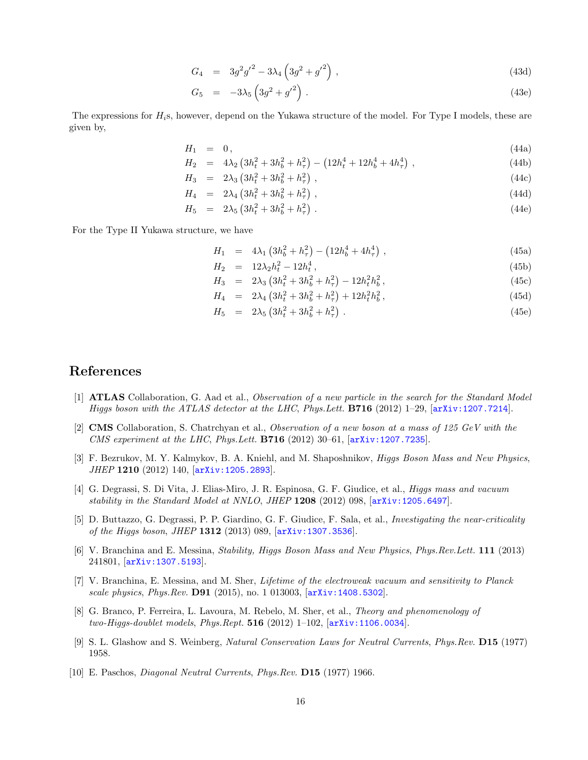$$
G_4 = 3g^2g'^2 - 3\lambda_4 \left(3g^2 + g'^2\right),\tag{43d}
$$

$$
G_5 = -3\lambda_5 \left(3g^2 + {g'}^2\right). \tag{43e}
$$

The expressions for  $H_i$ s, however, depend on the Yukawa structure of the model. For Type I models, these are given by,

$$
H_1 = 0, \t\t(44a)
$$

$$
H_2 = 4\lambda_2 \left(3h_t^2 + 3h_b^2 + h_\tau^2\right) - \left(12h_t^4 + 12h_b^4 + 4h_\tau^4\right),\tag{44b}
$$

 $H_3 = 2\lambda_3 \left(3h_t^2 + 3h_b^2 + h_\tau^2\right)$ ,  $(44c)$ 

$$
H_4 = 2\lambda_4 \left(3h_t^2 + 3h_b^2 + h_\tau^2\right), \tag{44d}
$$

$$
H_5 = 2\lambda_5 \left(3h_t^2 + 3h_b^2 + h_\tau^2\right). \tag{44e}
$$

For the Type II Yukawa structure, we have

$$
H_1 = 4\lambda_1 \left(3h_b^2 + h_\tau^2\right) - \left(12h_b^4 + 4h_\tau^4\right), \qquad (45a)
$$

$$
H_2 = 12\lambda_2 h_t^2 - 12h_t^4, \tag{45b}
$$

$$
H_3 = 2\lambda_3 \left(3h_t^2 + 3h_b^2 + h_\tau^2\right) - 12h_t^2h_b^2, \tag{45c}
$$

$$
H_4 = 2\lambda_4 \left(3h_t^2 + 3h_b^2 + h_\tau^2\right) + 12h_t^2 h_b^2, \tag{45d}
$$

$$
H_5 = 2\lambda_5 \left(3h_t^2 + 3h_b^2 + h_\tau^2\right). \tag{45e}
$$

## References

- [1] ATLAS Collaboration, G. Aad et al., Observation of a new particle in the search for the Standard Model Higgs boson with the ATLAS detector at the LHC, Phys.Lett. B716 (2012) 1–29, [arXiv:1207.7214].
- [2] CMS Collaboration, S. Chatrchyan et al., Observation of a new boson at a mass of 125 GeV with the CMS experiment at the LHC, Phys. Lett. **B716** (2012)  $30-61$ ,  $[\text{arXiv}:1207.7235]$ .
- [3] F. Bezrukov, M. Y. Kalmykov, B. A. Kniehl, and M. Shaposhnikov, *Higgs Boson Mass and New Physics*, JHEP 1210 (2012) 140, [arXiv:1205.2893].
- [4] G. Degrassi, S. Di Vita, J. Elias-Miro, J. R. Espinosa, G. F. Giudice, et al., Higgs mass and vacuum stability in the Standard Model at NNLO, JHEP 1208 (2012) 098, [arXiv:1205.6497].
- [5] D. Buttazzo, G. Degrassi, P. P. Giardino, G. F. Giudice, F. Sala, et al., Investigating the near-criticality of the Higgs boson, JHEP 1312 (2013) 089, [arXiv:1307.3536].
- [6] V. Branchina and E. Messina, Stability, Higgs Boson Mass and New Physics, Phys.Rev.Lett. 111 (2013) 241801, [arXiv:1307.5193].
- [7] V. Branchina, E. Messina, and M. Sher, Lifetime of the electroweak vacuum and sensitivity to Planck scale physics, Phys.Rev. D91 (2015), no. 1 013003, [arXiv:1408.5302].
- [8] G. Branco, P. Ferreira, L. Lavoura, M. Rebelo, M. Sher, et al., Theory and phenomenology of two-Higgs-doublet models, Phys.Rept.  $516$  (2012) 1-102,  $[arXiv:1106.0034]$ .
- [9] S. L. Glashow and S. Weinberg, Natural Conservation Laws for Neutral Currents, Phys.Rev. D15 (1977) 1958.
- [10] E. Paschos, Diagonal Neutral Currents, Phys.Rev. D15 (1977) 1966.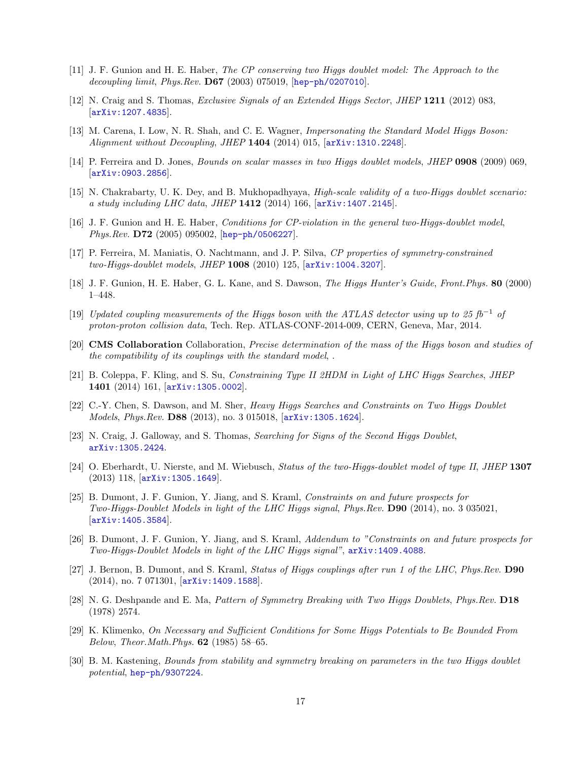- [11] J. F. Gunion and H. E. Haber, The CP conserving two Higgs doublet model: The Approach to the decoupling limit, Phys.Rev. D67 (2003) 075019, [hep-ph/0207010].
- [12] N. Craig and S. Thomas, Exclusive Signals of an Extended Higgs Sector, JHEP 1211 (2012) 083, [arXiv:1207.4835].
- [13] M. Carena, I. Low, N. R. Shah, and C. E. Wagner, *Impersonating the Standard Model Higgs Boson*: Alignment without Decoupling, JHEP 1404 (2014) 015, [arXiv:1310.2248].
- [14] P. Ferreira and D. Jones, Bounds on scalar masses in two Higgs doublet models, JHEP 0908 (2009) 069, [arXiv:0903.2856].
- [15] N. Chakrabarty, U. K. Dey, and B. Mukhopadhyaya, High-scale validity of a two-Higgs doublet scenario: a study including LHC data, JHEP  $1412$  (2014) 166,  $\ar{xiv:1407.2145}$ .
- [16] J. F. Gunion and H. E. Haber, Conditions for CP-violation in the general two-Higgs-doublet model, Phys.Rev. D72 (2005) 095002, [hep-ph/0506227].
- [17] P. Ferreira, M. Maniatis, O. Nachtmann, and J. P. Silva, CP properties of symmetry-constrained two-Higgs-doublet models, JHEP 1008 (2010) 125, [arXiv:1004.3207].
- [18] J. F. Gunion, H. E. Haber, G. L. Kane, and S. Dawson, The Higgs Hunter's Guide, Front.Phys. 80 (2000) 1–448.
- [19] Updated coupling measurements of the Higgs boson with the ATLAS detector using up to 25 fb<sup>-1</sup> of proton-proton collision data, Tech. Rep. ATLAS-CONF-2014-009, CERN, Geneva, Mar, 2014.
- [20] CMS Collaboration Collaboration, Precise determination of the mass of the Higgs boson and studies of the compatibility of its couplings with the standard model, .
- [21] B. Coleppa, F. Kling, and S. Su, Constraining Type II 2HDM in Light of LHC Higgs Searches, JHEP 1401 (2014) 161, [arXiv:1305.0002].
- [22] C.-Y. Chen, S. Dawson, and M. Sher, Heavy Higgs Searches and Constraints on Two Higgs Doublet Models, Phys.Rev. D88 (2013), no. 3 015018,  $arXiv:1305.1624$ .
- [23] N. Craig, J. Galloway, and S. Thomas, Searching for Signs of the Second Higgs Doublet, arXiv:1305.2424.
- [24] O. Eberhardt, U. Nierste, and M. Wiebusch, Status of the two-Higgs-doublet model of type II, JHEP 1307 (2013) 118, [arXiv:1305.1649].
- [25] B. Dumont, J. F. Gunion, Y. Jiang, and S. Kraml, Constraints on and future prospects for Two-Higgs-Doublet Models in light of the LHC Higgs signal, Phys.Rev. D90 (2014), no. 3 035021,  $\vert$ arXiv:1405.3584.
- [26] B. Dumont, J. F. Gunion, Y. Jiang, and S. Kraml, Addendum to "Constraints on and future prospects for Two-Higgs-Doublet Models in light of the LHC Higgs signal", arXiv:1409.4088.
- [27] J. Bernon, B. Dumont, and S. Kraml, Status of Higgs couplings after run 1 of the LHC, Phys.Rev. D90 (2014), no. 7 071301, [arXiv:1409.1588].
- [28] N. G. Deshpande and E. Ma, Pattern of Symmetry Breaking with Two Higgs Doublets, Phys.Rev. D18 (1978) 2574.
- [29] K. Klimenko, On Necessary and Sufficient Conditions for Some Higgs Potentials to Be Bounded From Below, Theor.Math.Phys. 62 (1985) 58–65.
- [30] B. M. Kastening, Bounds from stability and symmetry breaking on parameters in the two Higgs doublet potential, hep-ph/9307224.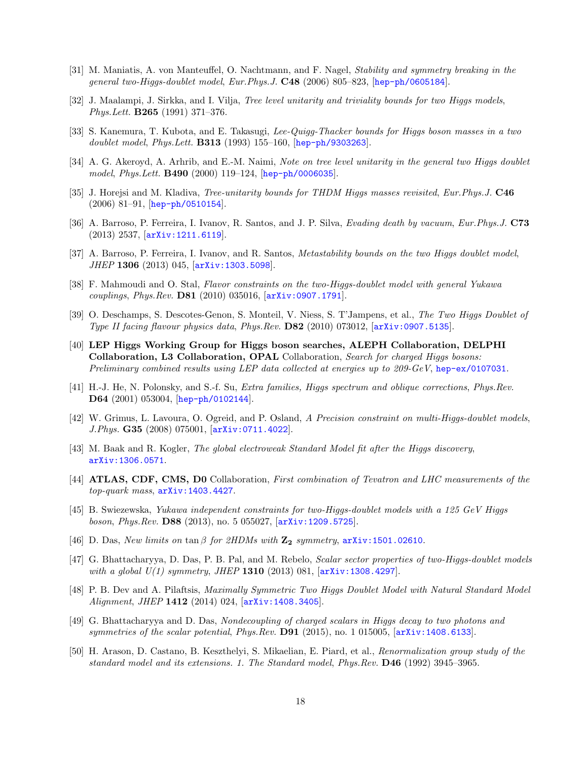- [31] M. Maniatis, A. von Manteuffel, O. Nachtmann, and F. Nagel, Stability and symmetry breaking in the general two-Higgs-doublet model, Eur.Phys.J. C48 (2006) 805–823, [hep-ph/0605184].
- [32] J. Maalampi, J. Sirkka, and I. Vilja, Tree level unitarity and triviality bounds for two Higgs models, Phys.Lett. B265 (1991) 371–376.
- [33] S. Kanemura, T. Kubota, and E. Takasugi, Lee-Quigg-Thacker bounds for Higgs boson masses in a two doublet model, Phys.Lett. **B313** (1993) 155–160, hep-ph/9303263.
- [34] A. G. Akeroyd, A. Arhrib, and E.-M. Naimi, Note on tree level unitarity in the general two Higgs doublet model, Phys.Lett. B490 (2000) 119–124, [hep-ph/0006035].
- [35] J. Horejsi and M. Kladiva, *Tree-unitarity bounds for THDM Higgs masses revisited, Eur.Phys.J.* **C46**  $(2006)$  81–91,  $[hep-ph/0510154]$ .
- [36] A. Barroso, P. Ferreira, I. Ivanov, R. Santos, and J. P. Silva, Evading death by vacuum, Eur.Phys.J. C73 (2013) 2537, [arXiv:1211.6119].
- [37] A. Barroso, P. Ferreira, I. Ivanov, and R. Santos, *Metastability bounds on the two Higgs doublet model*, JHEP 1306 (2013) 045, [arXiv:1303.5098].
- [38] F. Mahmoudi and O. Stal, Flavor constraints on the two-Higgs-doublet model with general Yukawa couplings, Phys.Rev. D81 (2010) 035016, [arXiv:0907.1791].
- [39] O. Deschamps, S. Descotes-Genon, S. Monteil, V. Niess, S. T'Jampens, et al., The Two Higgs Doublet of Type II facing flavour physics data, Phys.Rev. D82 (2010) 073012, [arXiv:0907.5135].
- [40] LEP Higgs Working Group for Higgs boson searches, ALEPH Collaboration, DELPHI Collaboration, L3 Collaboration, OPAL Collaboration, Search for charged Higgs bosons: Preliminary combined results using LEP data collected at energies up to 209-GeV, hep-ex/0107031.
- [41] H.-J. He, N. Polonsky, and S.-f. Su, Extra families, Higgs spectrum and oblique corrections, Phys.Rev. D64 (2001) 053004, [hep-ph/0102144].
- [42] W. Grimus, L. Lavoura, O. Ogreid, and P. Osland, A Precision constraint on multi-Higgs-doublet models, J.Phys. G35 (2008) 075001, [arXiv:0711.4022].
- [43] M. Baak and R. Kogler, The global electroweak Standard Model fit after the Higgs discovery, arXiv:1306.0571.
- [44] **ATLAS, CDF, CMS, D0** Collaboration, First combination of Tevatron and LHC measurements of the top-quark mass, arXiv:1403.4427.
- [45] B. Swiezewska, Yukawa independent constraints for two-Higgs-doublet models with a 125 GeV Higgs boson, Phys.Rev. D88 (2013), no. 5 055027, [arXiv:1209.5725].
- [46] D. Das, New limits on  $\tan \beta$  for 2HDMs with  $\mathbb{Z}_2$  symmetry, arXiv:1501.02610.
- [47] G. Bhattacharyya, D. Das, P. B. Pal, and M. Rebelo, Scalar sector properties of two-Higgs-doublet models with a global  $U(1)$  symmetry, JHEP 1310 (2013) 081,  $[arXiv:1308.4297]$ .
- [48] P. B. Dev and A. Pilaftsis, Maximally Symmetric Two Higgs Doublet Model with Natural Standard Model Alignment, JHEP 1412 (2014) 024, [arXiv:1408.3405].
- [49] G. Bhattacharyya and D. Das, Nondecoupling of charged scalars in Higgs decay to two photons and symmetries of the scalar potential, Phys.Rev.  $D91$  (2015), no. 1 015005,  $arXiv:1408.6133$ .
- [50] H. Arason, D. Castano, B. Keszthelyi, S. Mikaelian, E. Piard, et al., Renormalization group study of the standard model and its extensions. 1. The Standard model, Phys.Rev. D46 (1992) 3945–3965.